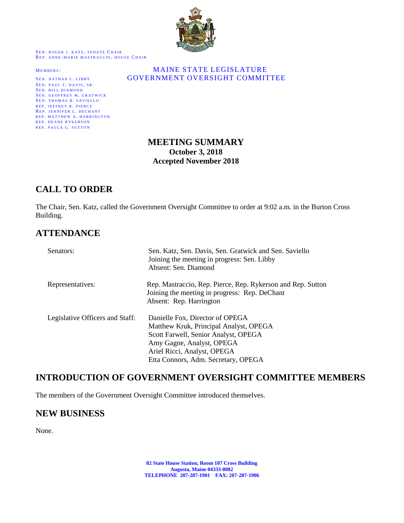

SEN. ROGER J. KATZ, SENATE CHAIR REP. ANNE-MARIE MASTRACCIO, HOUSE CHAIR

SEN. PAUL T. DAVIS, SR. SEN. BILL DIAMOND SEN. GEOFFREY M. GRATWICK SEN. THOMAS B. SAVIELLO REP. JEFFREY K. PIERCE REP. JENNIFER L. DECHANT REP. MATTHEW A. HARRINGTON REP. DEANE RYKERSON REP. PAULA G. SUTTON

### MEMBERS: MAINE STATE LEGISLATURE SEN. NATHAN L. LIBBY **GOVERNMENT OVERSIGHT COMMITTEE**

## **MEETING SUMMARY October 3, 2018 Accepted November 2018**

# **CALL TO ORDER**

The Chair, Sen. Katz, called the Government Oversight Committee to order at 9:02 a.m. in the Burton Cross Building.

# **ATTENDANCE**

| Senators:                       | Sen. Katz, Sen. Davis, Sen. Gratwick and Sen. Saviello<br>Joining the meeting in progress: Sen. Libby<br>Absent: Sen. Diamond                                                                                        |
|---------------------------------|----------------------------------------------------------------------------------------------------------------------------------------------------------------------------------------------------------------------|
| Representatives:                | Rep. Mastraccio, Rep. Pierce, Rep. Rykerson and Rep. Sutton<br>Joining the meeting in progress: Rep. DeChant<br>Absent: Rep. Harrington                                                                              |
| Legislative Officers and Staff: | Danielle Fox, Director of OPEGA<br>Matthew Kruk, Principal Analyst, OPEGA<br>Scott Farwell, Senior Analyst, OPEGA<br>Amy Gagne, Analyst, OPEGA<br>Ariel Ricci, Analyst, OPEGA<br>Etta Connors, Adm. Secretary, OPEGA |

## **INTRODUCTION OF GOVERNMENT OVERSIGHT COMMITTEE MEMBERS**

The members of the Government Oversight Committee introduced themselves.

## **NEW BUSINESS**

None.

**82 State House Station, Room 107 Cross Building Augusta, Maine 04333-0082 TELEPHONE 207-287-1901 FAX: 207-287-1906**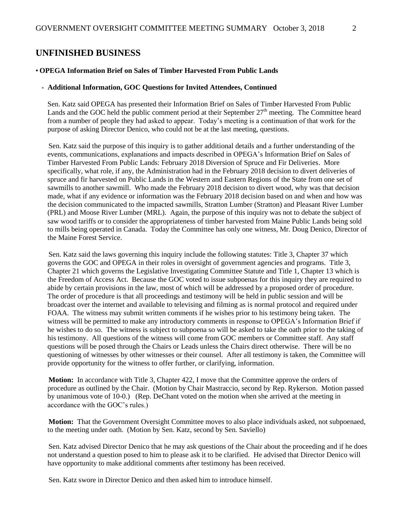### **UNFINISHED BUSINESS**

#### • **OPEGA Information Brief on Sales of Timber Harvested From Public Lands**

#### **- Additional Information, GOC Questions for Invited Attendees, Continued**

Sen. Katz said OPEGA has presented their Information Brief on Sales of Timber Harvested From Public Lands and the GOC held the public comment period at their September  $27<sup>th</sup>$  meeting. The Committee heard from a number of people they had asked to appear. Today's meeting is a continuation of that work for the purpose of asking Director Denico, who could not be at the last meeting, questions.

Sen. Katz said the purpose of this inquiry is to gather additional details and a further understanding of the events, communications, explanations and impacts described in OPEGA's Information Brief on Sales of Timber Harvested From Public Lands: February 2018 Diversion of Spruce and Fir Deliveries. More specifically, what role, if any, the Administration had in the February 2018 decision to divert deliveries of spruce and fir harvested on Public Lands in the Western and Eastern Regions of the State from one set of sawmills to another sawmill. Who made the February 2018 decision to divert wood, why was that decision made, what if any evidence or information was the February 2018 decision based on and when and how was the decision communicated to the impacted sawmills, Stratton Lumber (Stratton) and Pleasant River Lumber (PRL) and Moose River Lumber (MRL). Again, the purpose of this inquiry was not to debate the subject of saw wood tariffs or to consider the appropriateness of timber harvested from Maine Public Lands being sold to mills being operated in Canada. Today the Committee has only one witness, Mr. Doug Denico, Director of the Maine Forest Service.

Sen. Katz said the laws governing this inquiry include the following statutes: Title 3, Chapter 37 which governs the GOC and OPEGA in their roles in oversight of government agencies and programs. Title 3, Chapter 21 which governs the Legislative Investigating Committee Statute and Title 1, Chapter 13 which is the Freedom of Access Act. Because the GOC voted to issue subpoenas for this inquiry they are required to abide by certain provisions in the law, most of which will be addressed by a proposed order of procedure. The order of procedure is that all proceedings and testimony will be held in public session and will be broadcast over the internet and available to televising and filming as is normal protocol and required under FOAA. The witness may submit written comments if he wishes prior to his testimony being taken. The witness will be permitted to make any introductory comments in response to OPEGA's Information Brief if he wishes to do so. The witness is subject to subpoena so will be asked to take the oath prior to the taking of his testimony. All questions of the witness will come from GOC members or Committee staff. Any staff questions will be posed through the Chairs or Leads unless the Chairs direct otherwise. There will be no questioning of witnesses by other witnesses or their counsel. After all testimony is taken, the Committee will provide opportunity for the witness to offer further, or clarifying, information.

**Motion:** In accordance with Title 3, Chapter 422, I move that the Committee approve the orders of procedure as outlined by the Chair. (Motion by Chair Mastraccio, second by Rep. Rykerson. Motion passed by unanimous vote of 10-0.) (Rep. DeChant voted on the motion when she arrived at the meeting in accordance with the GOC's rules.)

**Motion:** That the Government Oversight Committee moves to also place individuals asked, not subpoenaed, to the meeting under oath. (Motion by Sen. Katz, second by Sen. Saviello)

Sen. Katz advised Director Denico that he may ask questions of the Chair about the proceeding and if he does not understand a question posed to him to please ask it to be clarified. He advised that Director Denico will have opportunity to make additional comments after testimony has been received.

Sen. Katz swore in Director Denico and then asked him to introduce himself.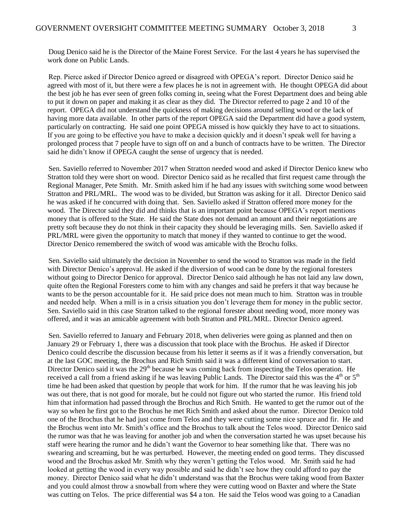Doug Denico said he is the Director of the Maine Forest Service. For the last 4 years he has supervised the work done on Public Lands.

Rep. Pierce asked if Director Denico agreed or disagreed with OPEGA's report. Director Denico said he agreed with most of it, but there were a few places he is not in agreement with. He thought OPEGA did about the best job he has ever seen of green folks coming in, seeing what the Forest Department does and being able to put it down on paper and making it as clear as they did. The Director referred to page 2 and 10 of the report. OPEGA did not understand the quickness of making decisions around selling wood or the lack of having more data available. In other parts of the report OPEGA said the Department did have a good system, particularly on contracting. He said one point OPEGA missed is how quickly they have to act to situations. If you are going to be effective you have to make a decision quickly and it doesn't speak well for having a prolonged process that 7 people have to sign off on and a bunch of contracts have to be written. The Director said he didn't know if OPEGA caught the sense of urgency that is needed.

Sen. Saviello referred to November 2017 when Stratton needed wood and asked if Director Denico knew who Stratton told they were short on wood. Director Denico said as he recalled that first request came through the Regional Manager, Pete Smith. Mr. Smith asked him if he had any issues with switching some wood between Stratton and PRL/MRL. The wood was to be divided, but Stratton was asking for it all. Director Denico said he was asked if he concurred with doing that. Sen. Saviello asked if Stratton offered more money for the wood. The Director said they did and thinks that is an important point because OPEGA's report mentions money that is offered to the State. He said the State does not demand an amount and their negotiations are pretty soft because they do not think in their capacity they should be leveraging mills. Sen. Saviello asked if PRL/MRL were given the opportunity to match that money if they wanted to continue to get the wood. Director Denico remembered the switch of wood was amicable with the Brochu folks.

Sen. Saviello said ultimately the decision in November to send the wood to Stratton was made in the field with Director Denico's approval. He asked if the diversion of wood can be done by the regional foresters without going to Director Denico for approval. Director Denico said although he has not laid any law down, quite often the Regional Foresters come to him with any changes and said he prefers it that way because he wants to be the person accountable for it. He said price does not mean much to him. Stratton was in trouble and needed help. When a mill is in a crisis situation you don't leverage them for money in the public sector. Sen. Saviello said in this case Stratton talked to the regional forester about needing wood, more money was offered, and it was an amicable agreement with both Stratton and PRL/MRL. Director Denico agreed.

Sen. Saviello referred to January and February 2018, when deliveries were going as planned and then on January 29 or February 1, there was a discussion that took place with the Brochus. He asked if Director Denico could describe the discussion because from his letter it seems as if it was a friendly conversation, but at the last GOC meeting, the Brochus and Rich Smith said it was a different kind of conversation to start. Director Denico said it was the 29<sup>th</sup> because he was coming back from inspecting the Telos operation. He received a call from a friend asking if he was leaving Public Lands. The Director said this was the 4<sup>th</sup> or 5<sup>th</sup> time he had been asked that question by people that work for him. If the rumor that he was leaving his job was out there, that is not good for morale, but he could not figure out who started the rumor. His friend told him that information had passed through the Brochus and Rich Smith. He wanted to get the rumor out of the way so when he first got to the Brochus he met Rich Smith and asked about the rumor. Director Denico told one of the Brochus that he had just come from Telos and they were cutting some nice spruce and fir. He and the Brochus went into Mr. Smith's office and the Brochus to talk about the Telos wood. Director Denico said the rumor was that he was leaving for another job and when the conversation started he was upset because his staff were hearing the rumor and he didn't want the Governor to hear something like that. There was no swearing and screaming, but he was perturbed. However, the meeting ended on good terms. They discussed wood and the Brochus asked Mr. Smith why they weren't getting the Telos wood. Mr. Smith said he had looked at getting the wood in every way possible and said he didn't see how they could afford to pay the money. Director Denico said what he didn't understand was that the Brochus were taking wood from Baxter and you could almost throw a snowball from where they were cutting wood on Baxter and where the State was cutting on Telos. The price differential was \$4 a ton. He said the Telos wood was going to a Canadian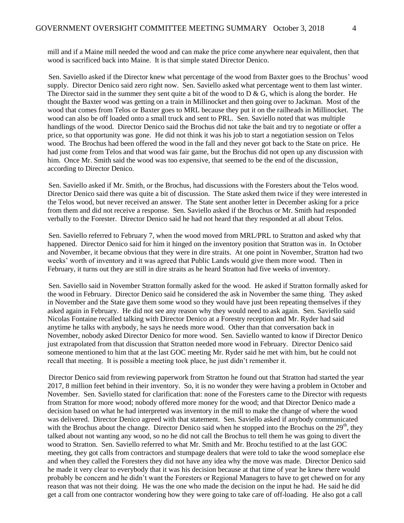mill and if a Maine mill needed the wood and can make the price come anywhere near equivalent, then that wood is sacrificed back into Maine. It is that simple stated Director Denico.

Sen. Saviello asked if the Director knew what percentage of the wood from Baxter goes to the Brochus' wood supply. Director Denico said zero right now. Sen. Saviello asked what percentage went to them last winter. The Director said in the summer they sent quite a bit of the wood to  $D \& G$ , which is along the border. He thought the Baxter wood was getting on a train in Millinocket and then going over to Jackman. Most of the wood that comes from Telos or Baxter goes to MRL because they put it on the railheads in Millinocket. The wood can also be off loaded onto a small truck and sent to PRL. Sen. Saviello noted that was multiple handlings of the wood. Director Denico said the Brochus did not take the bait and try to negotiate or offer a price, so that opportunity was gone. He did not think it was his job to start a negotiation session on Telos wood. The Brochus had been offered the wood in the fall and they never got back to the State on price. He had just come from Telos and that wood was fair game, but the Brochus did not open up any discussion with him. Once Mr. Smith said the wood was too expensive, that seemed to be the end of the discussion, according to Director Denico.

Sen. Saviello asked if Mr. Smith, or the Brochus, had discussions with the Foresters about the Telos wood. Director Denico said there was quite a bit of discussion. The State asked them twice if they were interested in the Telos wood, but never received an answer. The State sent another letter in December asking for a price from them and did not receive a response. Sen. Saviello asked if the Brochus or Mr. Smith had responded verbally to the Forester. Director Denico said he had not heard that they responded at all about Telos.

Sen. Saviello referred to February 7, when the wood moved from MRL/PRL to Stratton and asked why that happened. Director Denico said for him it hinged on the inventory position that Stratton was in. In October and November, it became obvious that they were in dire straits. At one point in November, Stratton had two weeks' worth of inventory and it was agreed that Public Lands would give them more wood. Then in February, it turns out they are still in dire straits as he heard Stratton had five weeks of inventory.

Sen. Saviello said in November Stratton formally asked for the wood. He asked if Stratton formally asked for the wood in February. Director Denico said he considered the ask in November the same thing. They asked in November and the State gave them some wood so they would have just been repeating themselves if they asked again in February. He did not see any reason why they would need to ask again. Sen. Saviello said Nicolas Fontaine recalled talking with Director Denico at a Forestry reception and Mr. Ryder had said anytime he talks with anybody, he says he needs more wood. Other than that conversation back in November, nobody asked Director Denico for more wood. Sen. Saviello wanted to know if Director Denico just extrapolated from that discussion that Stratton needed more wood in February. Director Denico said someone mentioned to him that at the last GOC meeting Mr. Ryder said he met with him, but he could not recall that meeting. It is possible a meeting took place, he just didn't remember it.

Director Denico said from reviewing paperwork from Stratton he found out that Stratton had started the year 2017, 8 million feet behind in their inventory. So, it is no wonder they were having a problem in October and November. Sen. Saviello stated for clarification that: none of the Foresters came to the Director with requests from Stratton for more wood; nobody offered more money for the wood; and that Director Denico made a decision based on what he had interpreted was inventory in the mill to make the change of where the wood was delivered. Director Denico agreed with that statement. Sen. Saviello asked if anybody communicated with the Brochus about the change. Director Denico said when he stopped into the Brochus on the  $29<sup>th</sup>$ , they talked about not wanting any wood, so no he did not call the Brochus to tell them he was going to divert the wood to Stratton. Sen. Saviello referred to what Mr. Smith and Mr. Brochu testified to at the last GOC meeting, they got calls from contractors and stumpage dealers that were told to take the wood someplace else and when they called the Foresters they did not have any idea why the move was made. Director Denico said he made it very clear to everybody that it was his decision because at that time of year he knew there would probably be concern and he didn't want the Foresters or Regional Managers to have to get chewed on for any reason that was not their doing. He was the one who made the decision on the input he had. He said he did get a call from one contractor wondering how they were going to take care of off-loading. He also got a call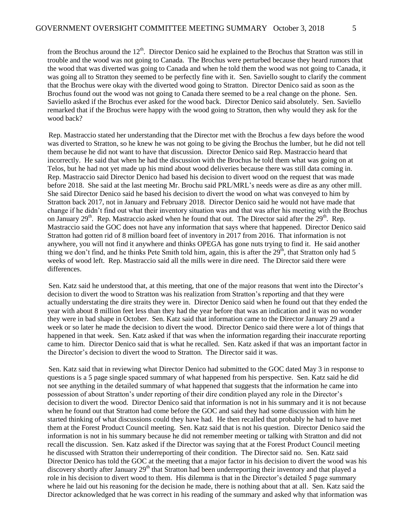from the Brochus around the  $12<sup>th</sup>$ . Director Denico said he explained to the Brochus that Stratton was still in trouble and the wood was not going to Canada. The Brochus were perturbed because they heard rumors that the wood that was diverted was going to Canada and when he told them the wood was not going to Canada, it was going all to Stratton they seemed to be perfectly fine with it. Sen. Saviello sought to clarify the comment that the Brochus were okay with the diverted wood going to Stratton. Director Denico said as soon as the Brochus found out the wood was not going to Canada there seemed to be a real change on the phone. Sen. Saviello asked if the Brochus ever asked for the wood back. Director Denico said absolutely. Sen. Saviello remarked that if the Brochus were happy with the wood going to Stratton, then why would they ask for the wood back?

Rep. Mastraccio stated her understanding that the Director met with the Brochus a few days before the wood was diverted to Stratton, so he knew he was not going to be giving the Brochus the lumber, but he did not tell them because he did not want to have that discussion. Director Denico said Rep. Mastraccio heard that incorrectly. He said that when he had the discussion with the Brochus he told them what was going on at Telos, but he had not yet made up his mind about wood deliveries because there was still data coming in. Rep. Mastraccio said Director Denico had based his decision to divert wood on the request that was made before 2018. She said at the last meeting Mr. Brochu said PRL/MRL's needs were as dire as any other mill. She said Director Denico said he based his decision to divert the wood on what was conveyed to him by Stratton back 2017, not in January and February 2018. Director Denico said he would not have made that change if he didn't find out what their inventory situation was and that was after his meeting with the Brochus on January  $29<sup>th</sup>$ . Rep. Mastraccio asked when he found that out. The Director said after the  $29<sup>th</sup>$ . Rep. Mastraccio said the GOC does not have any information that says where that happened. Director Denico said Stratton had gotten rid of 8 million board feet of inventory in 2017 from 2016. That information is not anywhere, you will not find it anywhere and thinks OPEGA has gone nuts trying to find it. He said another thing we don't find, and he thinks Pete Smith told him, again, this is after the  $29<sup>th</sup>$ , that Stratton only had 5 weeks of wood left. Rep. Mastraccio said all the mills were in dire need. The Director said there were differences.

Sen. Katz said he understood that, at this meeting, that one of the major reasons that went into the Director's decision to divert the wood to Stratton was his realization from Stratton's reporting and that they were actually understating the dire straits they were in. Director Denico said when he found out that they ended the year with about 8 million feet less than they had the year before that was an indication and it was no wonder they were in bad shape in October. Sen. Katz said that information came to the Director January 29 and a week or so later he made the decision to divert the wood. Director Denico said there were a lot of things that happened in that week. Sen. Katz asked if that was when the information regarding their inaccurate reporting came to him. Director Denico said that is what he recalled. Sen. Katz asked if that was an important factor in the Director's decision to divert the wood to Stratton. The Director said it was.

Sen. Katz said that in reviewing what Director Denico had submitted to the GOC dated May 3 in response to questions is a 5 page single spaced summary of what happened from his perspective. Sen. Katz said he did not see anything in the detailed summary of what happened that suggests that the information he came into possession of about Stratton's under reporting of their dire condition played any role in the Director's decision to divert the wood. Director Denico said that information is not in his summary and it is not because when he found out that Stratton had come before the GOC and said they had some discussion with him he started thinking of what discussions could they have had. He then recalled that probably he had to have met them at the Forest Product Council meeting. Sen. Katz said that is not his question. Director Denico said the information is not in his summary because he did not remember meeting or talking with Stratton and did not recall the discussion. Sen. Katz asked if the Director was saying that at the Forest Product Council meeting he discussed with Stratton their underreporting of their condition. The Director said no. Sen. Katz said Director Denico has told the GOC at the meeting that a major factor in his decision to divert the wood was his discovery shortly after January 29<sup>th</sup> that Stratton had been underreporting their inventory and that played a role in his decision to divert wood to them. His dilemma is that in the Director's detailed 5 page summary where he laid out his reasoning for the decision he made, there is nothing about that at all. Sen. Katz said the Director acknowledged that he was correct in his reading of the summary and asked why that information was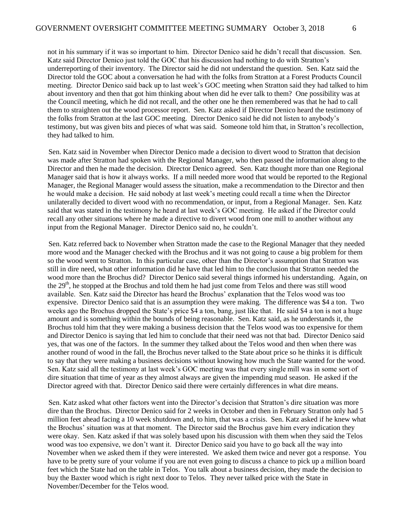not in his summary if it was so important to him. Director Denico said he didn't recall that discussion. Sen. Katz said Director Denico just told the GOC that his discussion had nothing to do with Stratton's underreporting of their inventory. The Director said he did not understand the question. Sen. Katz said the Director told the GOC about a conversation he had with the folks from Stratton at a Forest Products Council meeting. Director Denico said back up to last week's GOC meeting when Stratton said they had talked to him about inventory and then that got him thinking about when did he ever talk to them? One possibility was at the Council meeting, which he did not recall, and the other one he then remembered was that he had to call them to straighten out the wood processor report. Sen. Katz asked if Director Denico heard the testimony of the folks from Stratton at the last GOC meeting. Director Denico said he did not listen to anybody's testimony, but was given bits and pieces of what was said. Someone told him that, in Stratton's recollection, they had talked to him.

Sen. Katz said in November when Director Denico made a decision to divert wood to Stratton that decision was made after Stratton had spoken with the Regional Manager, who then passed the information along to the Director and then he made the decision. Director Denico agreed. Sen. Katz thought more than one Regional Manager said that is how it always works. If a mill needed more wood that would be reported to the Regional Manager, the Regional Manager would assess the situation, make a recommendation to the Director and then he would make a decision. He said nobody at last week's meeting could recall a time when the Director unilaterally decided to divert wood with no recommendation, or input, from a Regional Manager. Sen. Katz said that was stated in the testimony he heard at last week's GOC meeting. He asked if the Director could recall any other situations where he made a directive to divert wood from one mill to another without any input from the Regional Manager. Director Denico said no, he couldn't.

Sen. Katz referred back to November when Stratton made the case to the Regional Manager that they needed more wood and the Manager checked with the Brochus and it was not going to cause a big problem for them so the wood went to Stratton. In this particular case, other than the Director's assumption that Stratton was still in dire need, what other information did he have that led him to the conclusion that Stratton needed the wood more than the Brochus did? Director Denico said several things informed his understanding. Again, on the 29<sup>th</sup>, he stopped at the Brochus and told them he had just come from Telos and there was still wood available. Sen. Katz said the Director has heard the Brochus' explanation that the Telos wood was too expensive. Director Denico said that is an assumption they were making. The difference was \$4 a ton. Two weeks ago the Brochus dropped the State's price \$4 a ton, bang, just like that. He said \$4 a ton is not a huge amount and is something within the bounds of being reasonable. Sen. Katz said, as he understands it, the Brochus told him that they were making a business decision that the Telos wood was too expensive for them and Director Denico is saying that led him to conclude that their need was not that bad. Director Denico said yes, that was one of the factors. In the summer they talked about the Telos wood and then when there was another round of wood in the fall, the Brochus never talked to the State about price so he thinks it is difficult to say that they were making a business decisions without knowing how much the State wanted for the wood. Sen. Katz said all the testimony at last week's GOC meeting was that every single mill was in some sort of dire situation that time of year as they almost always are given the impending mud season. He asked if the Director agreed with that. Director Denico said there were certainly differences in what dire means.

Sen. Katz asked what other factors went into the Director's decision that Stratton's dire situation was more dire than the Brochus. Director Denico said for 2 weeks in October and then in February Stratton only had 5 million feet ahead facing a 10 week shutdown and, to him, that was a crisis. Sen. Katz asked if he knew what the Brochus' situation was at that moment. The Director said the Brochus gave him every indication they were okay. Sen. Katz asked if that was solely based upon his discussion with them when they said the Telos wood was too expensive, we don't want it. Director Denico said you have to go back all the way into November when we asked them if they were interested. We asked them twice and never got a response. You have to be pretty sure of your volume if you are not even going to discuss a chance to pick up a million board feet which the State had on the table in Telos. You talk about a business decision, they made the decision to buy the Baxter wood which is right next door to Telos. They never talked price with the State in November/December for the Telos wood.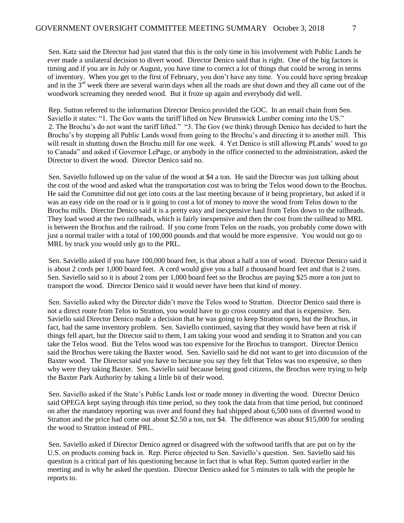Sen. Katz said the Director had just stated that this is the only time in his involvement with Public Lands he ever made a unilateral decision to divert wood. Director Denico said that is right. One of the big factors is timing and if you are in July or August, you have time to correct a lot of things that could be wrong in terms of inventory. When you get to the first of February, you don't have any time. You could have spring breakup and in the 3rd week there are several warm days when all the roads are shut down and they all came out of the woodwork screaming they needed wood. But it froze up again and everybody did well.

Rep. Sutton referred to the information Director Denico provided the GOC. In an email chain from Sen. Saviello it states: "1. The Gov wants the tariff lifted on New Brunswick Lumber coming into the US." 2. The Brochu's do not want the tariff lifted." "3. The Gov (we think) through Denico has decided to hurt the Brochu's by stopping all Public Lands wood from going to the Brochu's and directing it to another mill. This will result in shutting down the Brochu mill for one week. 4. Yet Denico is still allowing PLands' wood to go to Canada" and asked if Governor LePage, or anybody in the office connected to the administration, asked the Director to divert the wood. Director Denico said no.

Sen. Saviello followed up on the value of the wood at \$4 a ton. He said the Director was just talking about the cost of the wood and asked what the transportation cost was to bring the Telos wood down to the Brochus. He said the Committee did not get into costs at the last meeting because of it being proprietary, but asked if it was an easy ride on the road or is it going to cost a lot of money to move the wood from Telos down to the Brochu mills. Director Denico said it is a pretty easy and inexpensive haul from Telos down to the railheads. They load wood at the two railheads, which is fairly inexpensive and then the cost from the railhead to MRL is between the Brochus and the railroad. If you come from Telos on the roads, you probably come down with just a normal trailer with a total of 100,000 pounds and that would be more expensive. You would not go to MRL by truck you would only go to the PRL.

Sen. Saviello asked if you have 100,000 board feet, is that about a half a ton of wood. Director Denico said it is about 2 cords per 1,000 board feet. A cord would give you a half a thousand board feet and that is 2 tons. Sen. Saviello said so it is about 2 tons per 1,000 board feet so the Brochus are paying \$25 more a ton just to transport the wood. Director Denico said it would never have been that kind of money.

Sen. Saviello asked why the Director didn't move the Telos wood to Stratton. Director Denico said there is not a direct route from Telos to Stratton, you would have to go cross country and that is expensive. Sen. Saviello said Director Denico made a decision that he was going to keep Stratton open, but the Brochus, in fact, had the same inventory problem. Sen. Saviello continued, saying that they would have been at risk if things fell apart, but the Director said to them, I am taking your wood and sending it to Stratton and you can take the Telos wood. But the Telos wood was too expensive for the Brochus to transport. Director Denico said the Brochus were taking the Baxter wood. Sen. Saviello said he did not want to get into discussion of the Baxter wood. The Director said you have to because you say they felt that Telos was too expensive, so then why were they taking Baxter. Sen. Saviello said because being good citizens, the Brochus were trying to help the Baxter Park Authority by taking a little bit of their wood.

Sen. Saviello asked if the State's Public Lands lost or made money in diverting the wood. Director Denico said OPEGA kept saying through this time period, so they took the data from that time period, but continued on after the mandatory reporting was over and found they had shipped about 6,500 tons of diverted wood to Stratton and the price had come out about \$2.50 a ton, not \$4. The difference was about \$15,000 for sending the wood to Stratton instead of PRL.

Sen. Saviello asked if Director Denico agreed or disagreed with the softwood tariffs that are put on by the U.S. on products coming back in. Rep. Pierce objected to Sen. Saviello's question. Sen. Saviello said his question is a critical part of his questioning because in fact that is what Rep. Sutton quoted earlier in the meeting and is why he asked the question. Director Denico asked for 5 minutes to talk with the people he reports to.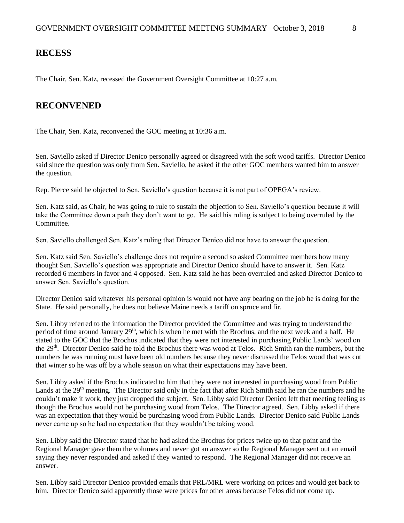### **RECESS**

The Chair, Sen. Katz, recessed the Government Oversight Committee at 10:27 a.m.

### **RECONVENED**

The Chair, Sen. Katz, reconvened the GOC meeting at 10:36 a.m.

Sen. Saviello asked if Director Denico personally agreed or disagreed with the soft wood tariffs. Director Denico said since the question was only from Sen. Saviello, he asked if the other GOC members wanted him to answer the question.

Rep. Pierce said he objected to Sen. Saviello's question because it is not part of OPEGA's review.

Sen. Katz said, as Chair, he was going to rule to sustain the objection to Sen. Saviello's question because it will take the Committee down a path they don't want to go. He said his ruling is subject to being overruled by the Committee.

Sen. Saviello challenged Sen. Katz's ruling that Director Denico did not have to answer the question.

Sen. Katz said Sen. Saviello's challenge does not require a second so asked Committee members how many thought Sen. Saviello's question was appropriate and Director Denico should have to answer it. Sen. Katz recorded 6 members in favor and 4 opposed. Sen. Katz said he has been overruled and asked Director Denico to answer Sen. Saviello's question.

Director Denico said whatever his personal opinion is would not have any bearing on the job he is doing for the State. He said personally, he does not believe Maine needs a tariff on spruce and fir.

Sen. Libby referred to the information the Director provided the Committee and was trying to understand the period of time around January  $29<sup>th</sup>$ , which is when he met with the Brochus, and the next week and a half. He stated to the GOC that the Brochus indicated that they were not interested in purchasing Public Lands' wood on the 29<sup>th</sup>. Director Denico said he told the Brochus there was wood at Telos. Rich Smith ran the numbers, but the numbers he was running must have been old numbers because they never discussed the Telos wood that was cut that winter so he was off by a whole season on what their expectations may have been.

Sen. Libby asked if the Brochus indicated to him that they were not interested in purchasing wood from Public Lands at the 29<sup>th</sup> meeting. The Director said only in the fact that after Rich Smith said he ran the numbers and he couldn't make it work, they just dropped the subject. Sen. Libby said Director Denico left that meeting feeling as though the Brochus would not be purchasing wood from Telos. The Director agreed. Sen. Libby asked if there was an expectation that they would be purchasing wood from Public Lands. Director Denico said Public Lands never came up so he had no expectation that they wouldn't be taking wood.

Sen. Libby said the Director stated that he had asked the Brochus for prices twice up to that point and the Regional Manager gave them the volumes and never got an answer so the Regional Manager sent out an email saying they never responded and asked if they wanted to respond. The Regional Manager did not receive an answer.

Sen. Libby said Director Denico provided emails that PRL/MRL were working on prices and would get back to him. Director Denico said apparently those were prices for other areas because Telos did not come up.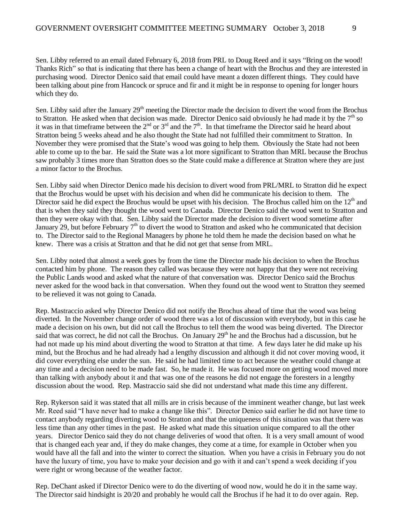Sen. Libby referred to an email dated February 6, 2018 from PRL to Doug Reed and it says "Bring on the wood! Thanks Rich" so that is indicating that there has been a change of heart with the Brochus and they are interested in purchasing wood. Director Denico said that email could have meant a dozen different things. They could have been talking about pine from Hancock or spruce and fir and it might be in response to opening for longer hours which they do.

Sen. Libby said after the January  $29<sup>th</sup>$  meeting the Director made the decision to divert the wood from the Brochus to Stratton. He asked when that decision was made. Director Denico said obviously he had made it by the  $7<sup>th</sup>$  so it was in that timeframe between the  $2<sup>nd</sup>$  or  $3<sup>rd</sup>$  and the  $7<sup>th</sup>$ . In that timeframe the Director said he heard about Stratton being 5 weeks ahead and he also thought the State had not fulfilled their commitment to Stratton. In November they were promised that the State's wood was going to help them. Obviously the State had not been able to come up to the bar. He said the State was a lot more significant to Stratton than MRL because the Brochus saw probably 3 times more than Stratton does so the State could make a difference at Stratton where they are just a minor factor to the Brochus.

Sen. Libby said when Director Denico made his decision to divert wood from PRL/MRL to Stratton did he expect that the Brochus would be upset with his decision and when did he communicate his decision to them. The Director said he did expect the Brochus would be upset with his decision. The Brochus called him on the  $12<sup>th</sup>$  and that is when they said they thought the wood went to Canada. Director Denico said the wood went to Stratton and then they were okay with that. Sen. Libby said the Director made the decision to divert wood sometime after January 29, but before February  $7<sup>th</sup>$  to divert the wood to Stratton and asked who he communicated that decision to. The Director said to the Regional Managers by phone he told them he made the decision based on what he knew. There was a crisis at Stratton and that he did not get that sense from MRL.

Sen. Libby noted that almost a week goes by from the time the Director made his decision to when the Brochus contacted him by phone. The reason they called was because they were not happy that they were not receiving the Public Lands wood and asked what the nature of that conversation was. Director Denico said the Brochus never asked for the wood back in that conversation. When they found out the wood went to Stratton they seemed to be relieved it was not going to Canada.

Rep. Mastraccio asked why Director Denico did not notify the Brochus ahead of time that the wood was being diverted. In the November change order of wood there was a lot of discussion with everybody, but in this case he made a decision on his own, but did not call the Brochus to tell them the wood was being diverted. The Director said that was correct, he did not call the Brochus. On January 29<sup>th</sup> he and the Brochus had a discussion, but he had not made up his mind about diverting the wood to Stratton at that time. A few days later he did make up his mind, but the Brochus and he had already had a lengthy discussion and although it did not cover moving wood, it did cover everything else under the sun. He said he had limited time to act because the weather could change at any time and a decision need to be made fast. So, he made it. He was focused more on getting wood moved more than talking with anybody about it and that was one of the reasons he did not engage the foresters in a lengthy discussion about the wood. Rep. Mastraccio said she did not understand what made this time any different.

Rep. Rykerson said it was stated that all mills are in crisis because of the imminent weather change, but last week Mr. Reed said "I have never had to make a change like this". Director Denico said earlier he did not have time to contact anybody regarding diverting wood to Stratton and that the uniqueness of this situation was that there was less time than any other times in the past. He asked what made this situation unique compared to all the other years. Director Denico said they do not change deliveries of wood that often. It is a very small amount of wood that is changed each year and, if they do make changes, they come at a time, for example in October when you would have all the fall and into the winter to correct the situation. When you have a crisis in February you do not have the luxury of time, you have to make your decision and go with it and can't spend a week deciding if you were right or wrong because of the weather factor.

Rep. DeChant asked if Director Denico were to do the diverting of wood now, would he do it in the same way. The Director said hindsight is 20/20 and probably he would call the Brochus if he had it to do over again. Rep.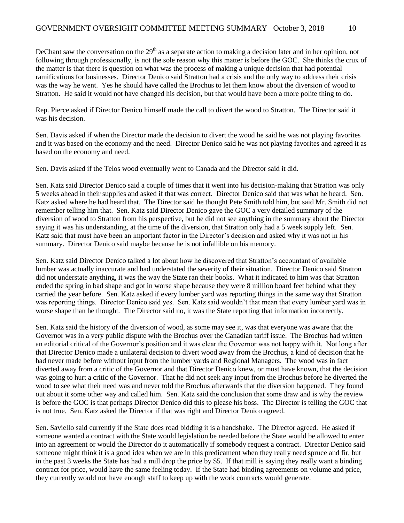DeChant saw the conversation on the  $29<sup>th</sup>$  as a separate action to making a decision later and in her opinion, not following through professionally, is not the sole reason why this matter is before the GOC. She thinks the crux of the matter is that there is question on what was the process of making a unique decision that had potential ramifications for businesses. Director Denico said Stratton had a crisis and the only way to address their crisis was the way he went. Yes he should have called the Brochus to let them know about the diversion of wood to Stratton. He said it would not have changed his decision, but that would have been a more polite thing to do.

Rep. Pierce asked if Director Denico himself made the call to divert the wood to Stratton. The Director said it was his decision.

Sen. Davis asked if when the Director made the decision to divert the wood he said he was not playing favorites and it was based on the economy and the need. Director Denico said he was not playing favorites and agreed it as based on the economy and need.

Sen. Davis asked if the Telos wood eventually went to Canada and the Director said it did.

Sen. Katz said Director Denico said a couple of times that it went into his decision-making that Stratton was only 5 weeks ahead in their supplies and asked if that was correct. Director Denico said that was what he heard. Sen. Katz asked where he had heard that. The Director said he thought Pete Smith told him, but said Mr. Smith did not remember telling him that. Sen. Katz said Director Denico gave the GOC a very detailed summary of the diversion of wood to Stratton from his perspective, but he did not see anything in the summary about the Director saying it was his understanding, at the time of the diversion, that Stratton only had a 5 week supply left. Sen. Katz said that must have been an important factor in the Director's decision and asked why it was not in his summary. Director Denico said maybe because he is not infallible on his memory.

Sen. Katz said Director Denico talked a lot about how he discovered that Stratton's accountant of available lumber was actually inaccurate and had understated the severity of their situation. Director Denico said Stratton did not understate anything, it was the way the State ran their books. What it indicated to him was that Stratton ended the spring in bad shape and got in worse shape because they were 8 million board feet behind what they carried the year before. Sen. Katz asked if every lumber yard was reporting things in the same way that Stratton was reporting things. Director Denico said yes. Sen. Katz said wouldn't that mean that every lumber yard was in worse shape than he thought. The Director said no, it was the State reporting that information incorrectly.

Sen. Katz said the history of the diversion of wood, as some may see it, was that everyone was aware that the Governor was in a very public dispute with the Brochus over the Canadian tariff issue. The Brochus had written an editorial critical of the Governor's position and it was clear the Governor was not happy with it. Not long after that Director Denico made a unilateral decision to divert wood away from the Brochus, a kind of decision that he had never made before without input from the lumber yards and Regional Managers. The wood was in fact diverted away from a critic of the Governor and that Director Denico knew, or must have known, that the decision was going to hurt a critic of the Governor. That he did not seek any input from the Brochus before he diverted the wood to see what their need was and never told the Brochus afterwards that the diversion happened. They found out about it some other way and called him. Sen. Katz said the conclusion that some draw and is why the review is before the GOC is that perhaps Director Denico did this to please his boss. The Director is telling the GOC that is not true. Sen. Katz asked the Director if that was right and Director Denico agreed.

Sen. Saviello said currently if the State does road bidding it is a handshake. The Director agreed. He asked if someone wanted a contract with the State would legislation be needed before the State would be allowed to enter into an agreement or would the Director do it automatically if somebody request a contract. Director Denico said someone might think it is a good idea when we are in this predicament when they really need spruce and fir, but in the past 3 weeks the State has had a mill drop the price by \$5. If that mill is saying they really want a binding contract for price, would have the same feeling today. If the State had binding agreements on volume and price, they currently would not have enough staff to keep up with the work contracts would generate.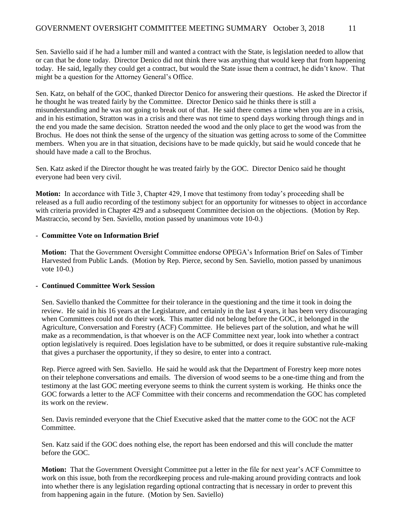Sen. Saviello said if he had a lumber mill and wanted a contract with the State, is legislation needed to allow that or can that be done today. Director Denico did not think there was anything that would keep that from happening today. He said, legally they could get a contract, but would the State issue them a contract, he didn't know. That might be a question for the Attorney General's Office.

Sen. Katz, on behalf of the GOC, thanked Director Denico for answering their questions. He asked the Director if he thought he was treated fairly by the Committee. Director Denico said he thinks there is still a misunderstanding and he was not going to break out of that. He said there comes a time when you are in a crisis, and in his estimation, Stratton was in a crisis and there was not time to spend days working through things and in the end you made the same decision. Stratton needed the wood and the only place to get the wood was from the Brochus. He does not think the sense of the urgency of the situation was getting across to some of the Committee members. When you are in that situation, decisions have to be made quickly, but said he would concede that he should have made a call to the Brochus.

Sen. Katz asked if the Director thought he was treated fairly by the GOC. Director Denico said he thought everyone had been very civil.

**Motion:** In accordance with Title 3, Chapter 429, I move that testimony from today's proceeding shall be released as a full audio recording of the testimony subject for an opportunity for witnesses to object in accordance with criteria provided in Chapter 429 and a subsequent Committee decision on the objections. (Motion by Rep. Mastraccio, second by Sen. Saviello, motion passed by unanimous vote 10-0.)

### - **Committee Vote on Information Brief**

**Motion:** That the Government Oversight Committee endorse OPEGA's Information Brief on Sales of Timber Harvested from Public Lands. (Motion by Rep. Pierce, second by Sen. Saviello, motion passed by unanimous vote 10-0.)

### **- Continued Committee Work Session**

Sen. Saviello thanked the Committee for their tolerance in the questioning and the time it took in doing the review. He said in his 16 years at the Legislature, and certainly in the last 4 years, it has been very discouraging when Committees could not do their work. This matter did not belong before the GOC, it belonged in the Agriculture, Conversation and Forestry (ACF) Committee. He believes part of the solution, and what he will make as a recommendation, is that whoever is on the ACF Committee next year, look into whether a contract option legislatively is required. Does legislation have to be submitted, or does it require substantive rule-making that gives a purchaser the opportunity, if they so desire, to enter into a contract.

Rep. Pierce agreed with Sen. Saviello. He said he would ask that the Department of Forestry keep more notes on their telephone conversations and emails. The diversion of wood seems to be a one-time thing and from the testimony at the last GOC meeting everyone seems to think the current system is working. He thinks once the GOC forwards a letter to the ACF Committee with their concerns and recommendation the GOC has completed its work on the review.

Sen. Davis reminded everyone that the Chief Executive asked that the matter come to the GOC not the ACF **Committee** 

Sen. Katz said if the GOC does nothing else, the report has been endorsed and this will conclude the matter before the GOC.

**Motion:** That the Government Oversight Committee put a letter in the file for next year's ACF Committee to work on this issue, both from the recordkeeping process and rule-making around providing contracts and look into whether there is any legislation regarding optional contracting that is necessary in order to prevent this from happening again in the future. (Motion by Sen. Saviello)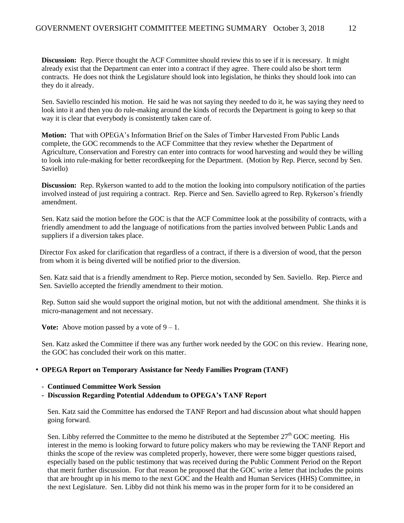**Discussion:** Rep. Pierce thought the ACF Committee should review this to see if it is necessary. It might already exist that the Department can enter into a contract if they agree. There could also be short term contracts. He does not think the Legislature should look into legislation, he thinks they should look into can they do it already.

Sen. Saviello rescinded his motion. He said he was not saying they needed to do it, he was saying they need to look into it and then you do rule-making around the kinds of records the Department is going to keep so that way it is clear that everybody is consistently taken care of.

**Motion:** That with OPEGA's Information Brief on the Sales of Timber Harvested From Public Lands complete, the GOC recommends to the ACF Committee that they review whether the Department of Agriculture, Conservation and Forestry can enter into contracts for wood harvesting and would they be willing to look into rule-making for better recordkeeping for the Department. (Motion by Rep. Pierce, second by Sen. Saviello)

**Discussion:** Rep. Rykerson wanted to add to the motion the looking into compulsory notification of the parties involved instead of just requiring a contract. Rep. Pierce and Sen. Saviello agreed to Rep. Rykerson's friendly amendment.

Sen. Katz said the motion before the GOC is that the ACF Committee look at the possibility of contracts, with a friendly amendment to add the language of notifications from the parties involved between Public Lands and suppliers if a diversion takes place.

Director Fox asked for clarification that regardless of a contract, if there is a diversion of wood, that the person from whom it is being diverted will be notified prior to the diversion.

Sen. Katz said that is a friendly amendment to Rep. Pierce motion, seconded by Sen. Saviello. Rep. Pierce and Sen. Saviello accepted the friendly amendment to their motion.

Rep. Sutton said she would support the original motion, but not with the additional amendment. She thinks it is micro-management and not necessary.

**Vote:** Above motion passed by a vote of  $9 - 1$ .

Sen. Katz asked the Committee if there was any further work needed by the GOC on this review. Hearing none, the GOC has concluded their work on this matter.

### • **OPEGA Report on Temporary Assistance for Needy Families Program (TANF)**

- **Continued Committee Work Session**
- **Discussion Regarding Potential Addendum to OPEGA's TANF Report**

Sen. Katz said the Committee has endorsed the TANF Report and had discussion about what should happen going forward.

Sen. Libby referred the Committee to the memo he distributed at the September 27<sup>th</sup> GOC meeting. His interest in the memo is looking forward to future policy makers who may be reviewing the TANF Report and thinks the scope of the review was completed properly, however, there were some bigger questions raised, especially based on the public testimony that was received during the Public Comment Period on the Report that merit further discussion. For that reason he proposed that the GOC write a letter that includes the points that are brought up in his memo to the next GOC and the Health and Human Services (HHS) Committee, in the next Legislature. Sen. Libby did not think his memo was in the proper form for it to be considered an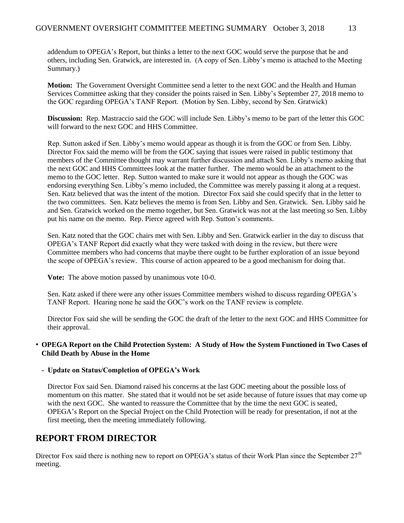addendum to OPEGA's Report, but thinks a letter to the next GOC would serve the purpose that he and others, including Sen. Gratwick, are interested in. (A copy of Sen. Libby's memo is attached to the Meeting Summary.)

**Motion:** The Government Oversight Committee send a letter to the next GOC and the Health and Human Services Committee asking that they consider the points raised in Sen. Libby's September 27, 2018 memo to the GOC regarding OPEGA's TANF Report. (Motion by Sen. Libby, second by Sen. Gratwick)

**Discussion:** Rep. Mastraccio said the GOC will include Sen. Libby's memo to be part of the letter this GOC will forward to the next GOC and HHS Committee.

Rep. Sutton asked if Sen. Libby's memo would appear as though it is from the GOC or from Sen. Libby. Director Fox said the memo will be from the GOC saying that issues were raised in public testimony that members of the Committee thought may warrant further discussion and attach Sen. Libby's memo asking that the next GOC and HHS Committees look at the matter further. The memo would be an attachment to the memo to the GOC letter. Rep. Sutton wanted to make sure it would not appear as though the GOC was endorsing everything Sen. Libby's memo included, the Committee was merely passing it along at a request. Sen. Katz believed that was the intent of the motion. Director Fox said she could specify that in the letter to the two committees. Sen. Katz believes the memo is from Sen. Libby and Sen. Gratwick. Sen. Libby said he and Sen. Gratwick worked on the memo together, but Sen. Gratwick was not at the last meeting so Sen. Libby put his name on the memo. Rep. Pierce agreed with Rep. Sutton's comments.

Sen. Katz noted that the GOC chairs met with Sen. Libby and Sen. Gratwick earlier in the day to discuss that OPEGA's TANF Report did exactly what they were tasked with doing in the review, but there were Committee members who had concerns that maybe there ought to be further exploration of an issue beyond the scope of OPEGA's review. This course of action appeared to be a good mechanism for doing that.

**Vote:** The above motion passed by unanimous vote 10-0.

Sen. Katz asked if there were any other issues Committee members wished to discuss regarding OPEGA's TANF Report. Hearing none he said the GOC's work on the TANF review is complete.

Director Fox said she will be sending the GOC the draft of the letter to the next GOC and HHS Committee for their approval.

### • **OPEGA Report on the Child Protection System: A Study of How the System Functioned in Two Cases of Child Death by Abuse in the Home**

### **- Update on Status/Completion of OPEGA's Work**

Director Fox said Sen. Diamond raised his concerns at the last GOC meeting about the possible loss of momentum on this matter. She stated that it would not be set aside because of future issues that may come up with the next GOC. She wanted to reassure the Committee that by the time the next GOC is seated, OPEGA's Report on the Special Project on the Child Protection will be ready for presentation, if not at the first meeting, then the meeting immediately following.

## **REPORT FROM DIRECTOR**

Director Fox said there is nothing new to report on OPEGA's status of their Work Plan since the September  $27<sup>th</sup>$ meeting.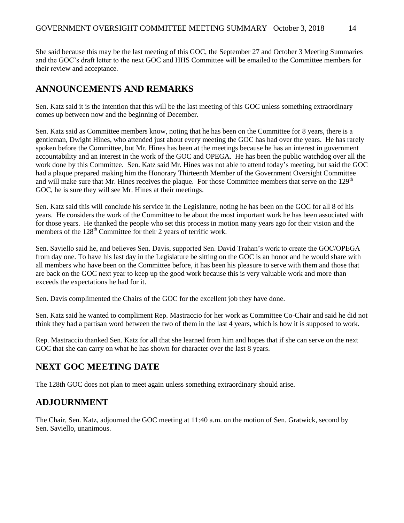She said because this may be the last meeting of this GOC, the September 27 and October 3 Meeting Summaries and the GOC's draft letter to the next GOC and HHS Committee will be emailed to the Committee members for their review and acceptance.

## **ANNOUNCEMENTS AND REMARKS**

Sen. Katz said it is the intention that this will be the last meeting of this GOC unless something extraordinary comes up between now and the beginning of December.

Sen. Katz said as Committee members know, noting that he has been on the Committee for 8 years, there is a gentleman, Dwight Hines, who attended just about every meeting the GOC has had over the years. He has rarely spoken before the Committee, but Mr. Hines has been at the meetings because he has an interest in government accountability and an interest in the work of the GOC and OPEGA. He has been the public watchdog over all the work done by this Committee. Sen. Katz said Mr. Hines was not able to attend today's meeting, but said the GOC had a plaque prepared making him the Honorary Thirteenth Member of the Government Oversight Committee and will make sure that Mr. Hines receives the plaque. For those Committee members that serve on the 129<sup>th</sup> GOC, he is sure they will see Mr. Hines at their meetings.

Sen. Katz said this will conclude his service in the Legislature, noting he has been on the GOC for all 8 of his years. He considers the work of the Committee to be about the most important work he has been associated with for those years. He thanked the people who set this process in motion many years ago for their vision and the members of the 128<sup>th</sup> Committee for their 2 years of terrific work.

Sen. Saviello said he, and believes Sen. Davis, supported Sen. David Trahan's work to create the GOC/OPEGA from day one. To have his last day in the Legislature be sitting on the GOC is an honor and he would share with all members who have been on the Committee before, it has been his pleasure to serve with them and those that are back on the GOC next year to keep up the good work because this is very valuable work and more than exceeds the expectations he had for it.

Sen. Davis complimented the Chairs of the GOC for the excellent job they have done.

Sen. Katz said he wanted to compliment Rep. Mastraccio for her work as Committee Co-Chair and said he did not think they had a partisan word between the two of them in the last 4 years, which is how it is supposed to work.

Rep. Mastraccio thanked Sen. Katz for all that she learned from him and hopes that if she can serve on the next GOC that she can carry on what he has shown for character over the last 8 years.

## **NEXT GOC MEETING DATE**

The 128th GOC does not plan to meet again unless something extraordinary should arise.

## **ADJOURNMENT**

The Chair, Sen. Katz, adjourned the GOC meeting at 11:40 a.m. on the motion of Sen. Gratwick, second by Sen. Saviello, unanimous.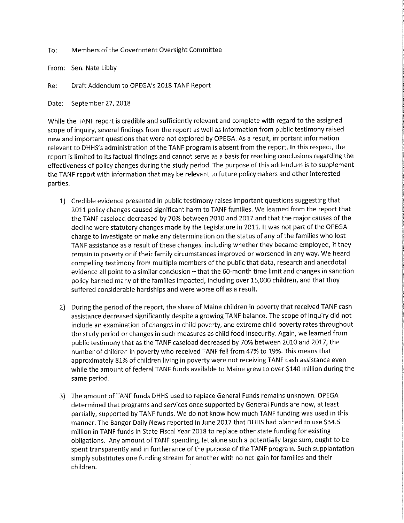To: Members of the Government Oversight Committee

From: Sen. Nate Libby

Draft Addendum to OPEGA's 2018 TANF Report Re:

September 27, 2018 Date:

While the TANF report is credible and sufficiently relevant and complete with regard to the assigned scope of inquiry, several findings from the report as well as information from public testimony raised new and important questions that were not explored by OPEGA. As a result, important information relevant to DHHS's administration of the TANF program is absent from the report. In this respect, the report is limited to its factual findings and cannot serve as a basis for reaching conclusions regarding the effectiveness of policy changes during the study period. The purpose of this addendum is to supplement the TANF report with information that may be relevant to future policymakers and other interested parties.

- 1) Credible evidence presented in public testimony raises important questions suggesting that 2011 policy changes caused significant harm to TANF families. We learned from the report that the TANF caseload decreased by 70% between 2010 and 2017 and that the major causes of the decline were statutory changes made by the Legislature in 2011. It was not part of the OPEGA charge to investigate or make any determination on the status of any of the families who lost TANF assistance as a result of these changes, including whether they became employed, if they remain in poverty or if their family circumstances improved or worsened in any way. We heard compelling testimony from multiple members of the public that data, research and anecdotal evidence all point to a similar conclusion - that the 60-month time limit and changes in sanction policy harmed many of the families impacted, including over 15,000 children, and that they suffered considerable hardships and were worse off as a result.
- 2) During the period of the report, the share of Maine children in poverty that received TANF cash assistance decreased significantly despite a growing TANF balance. The scope of inquiry did not include an examination of changes in child poverty, and extreme child poverty rates throughout the study period or changes in such measures as child food insecurity. Again, we learned from public testimony that as the TANF caseload decreased by 70% between 2010 and 2017, the number of children in poverty who received TANF fell from 47% to 19%. This means that approximately 81% of children living in poverty were not receiving TANF cash assistance even while the amount of federal TANF funds available to Maine grew to over \$140 million during the same period.
- 3) The amount of TANF funds DHHS used to replace General Funds remains unknown. OPEGA determined that programs and services once supported by General Funds are now, at least partially, supported by TANF funds. We do not know how much TANF funding was used in this manner. The Bangor Daily News reported in June 2017 that DHHS had planned to use \$34.5 million in TANF funds in State Fiscal Year 2018 to replace other state funding for existing obligations. Any amount of TANF spending, let alone such a potentially large sum, ought to be spent transparently and in furtherance of the purpose of the TANF program. Such supplantation simply substitutes one funding stream for another with no net-gain for families and their children.